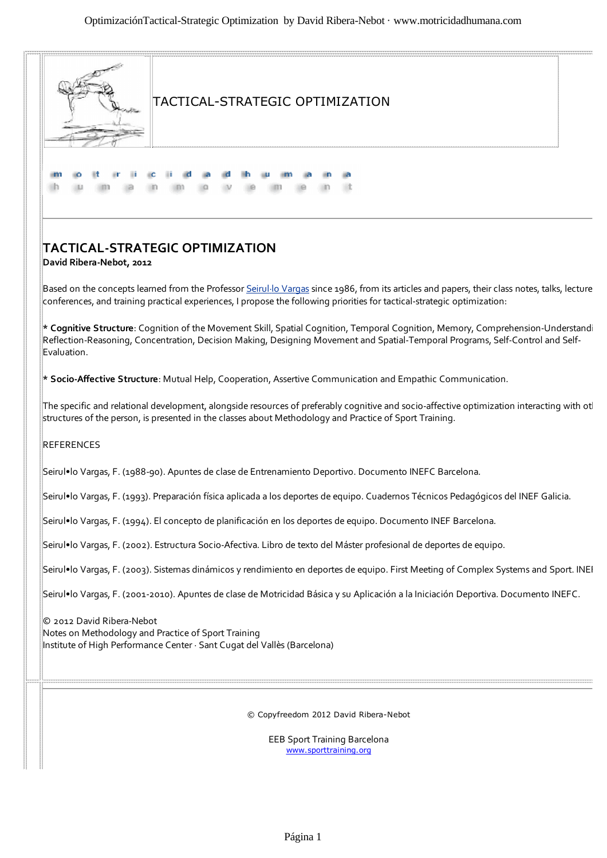

EEB Sport Training Barcelona www.sporttraining.org